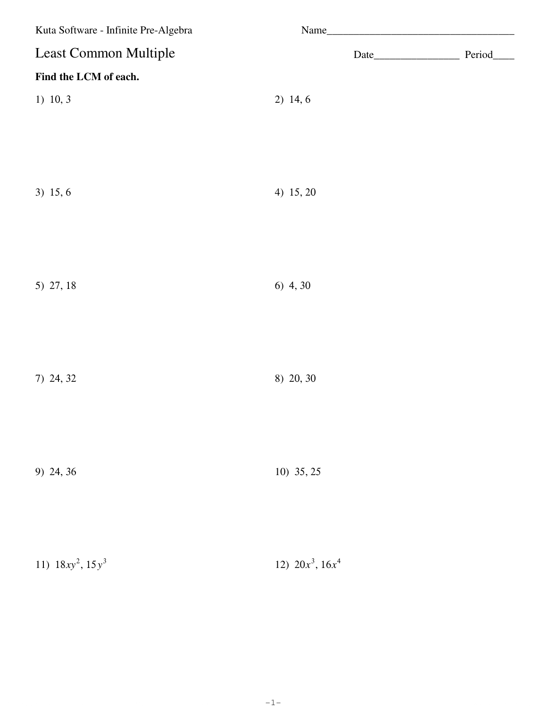| Kuta Software - Infinite Pre-Algebra |                       |
|--------------------------------------|-----------------------|
| Least Common Multiple                | Period_<br>Date       |
| Find the LCM of each.                |                       |
| $1)$ 10, 3                           | 2) 14, 6              |
|                                      |                       |
|                                      |                       |
|                                      |                       |
| 3) 15, 6                             | 4) 15, 20             |
|                                      |                       |
|                                      |                       |
| 5) 27, 18                            | 6) 4, 30              |
|                                      |                       |
|                                      |                       |
|                                      |                       |
| 7) 24, 32                            | 8) 20, 30             |
|                                      |                       |
|                                      |                       |
| 9) 24, 36                            | 10) 35, 25            |
|                                      |                       |
|                                      |                       |
|                                      |                       |
| 11) $18xy^2$ , $15y^3$               | 12) $20x^3$ , $16x^4$ |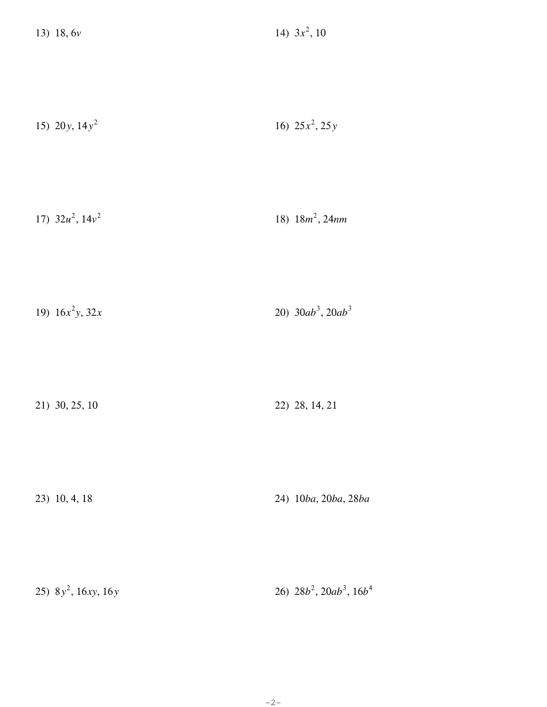| 15) 20y, $14y^2$ | 16) $25x^2$ , $25y$ |
|------------------|---------------------|
|------------------|---------------------|

| 17) $32u^2$ , $14v^2$ | 18) $18m^2$ , $24nm$ |
|-----------------------|----------------------|
|                       |                      |

| 20) $30ab^3$ , $20ab^3$<br>19) $16x^2y$ , 32x |
|-----------------------------------------------|
|-----------------------------------------------|

| 21) 30, 25, 10 | 22) 28, 14, 21 |
|----------------|----------------|
|----------------|----------------|

23) 10, 4, 18 24) 10ba, 20ba, 28ba

26)  $28b^2$ ,  $20ab^3$ ,  $16b^4$ 25)  $8y^2$ , 16xy, 16y

 $-2-$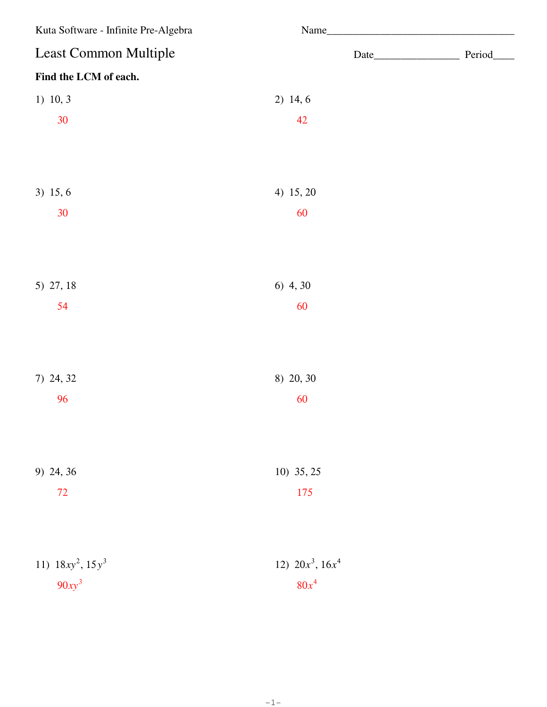| Kuta Software - Infinite Pre-Algebra | Name                  |  |
|--------------------------------------|-----------------------|--|
| <b>Least Common Multiple</b>         |                       |  |
| Find the LCM of each.                |                       |  |
| 1) 10, 3                             | 2) 14, 6              |  |
| 30                                   | 42                    |  |
|                                      |                       |  |
| 3) 15, 6                             | 4) 15, 20             |  |
| 30                                   | 60                    |  |
|                                      |                       |  |
| 5) 27, 18                            | 6) 4, 30              |  |
| 54                                   | 60                    |  |
|                                      |                       |  |
| 7) 24, 32                            | 8) 20, 30             |  |
| 96                                   | 60                    |  |
|                                      |                       |  |
| 9) 24, 36                            | 10) 35, 25            |  |
| 72                                   | 175                   |  |
|                                      |                       |  |
| 11) $18xy^2$ , $15y^3$               | 12) $20x^3$ , $16x^4$ |  |
| $90xy^3$                             | $80x^4$               |  |